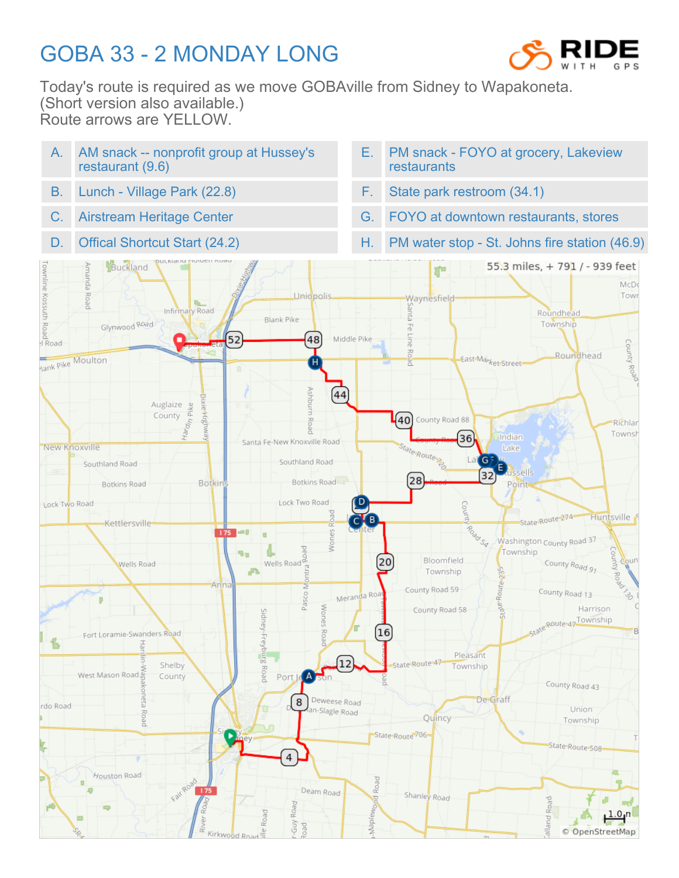## GOBA 33 - 2 MONDAY LONG



Today's route is required as we move GOBAville from Sidney to Wapakoneta. (Short version also available.) Route arrows are YELLOW.